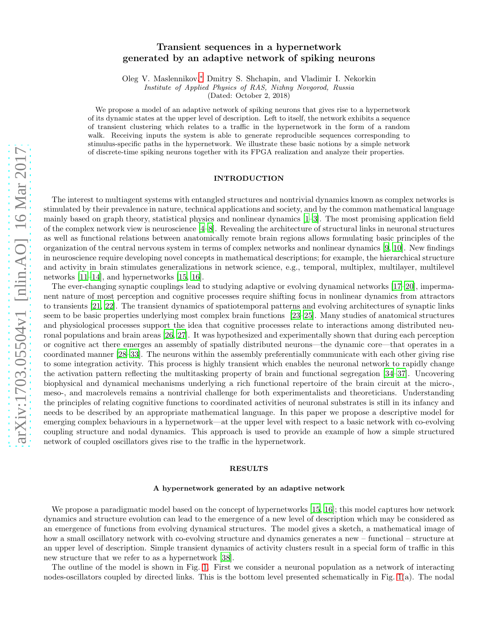# arXiv:1703.05504v1 [nlin.AO] 16 Mar 2017 [arXiv:1703.05504v1 \[nlin.AO\] 16 Mar 2017](http://arxiv.org/abs/1703.05504v1)

# Transient sequences in a hypernetwork generated by an adaptive network of spiking neurons

Oleg V. Maslennikov,[∗](#page-7-0) Dmitry S. Shchapin, and Vladimir I. Nekorkin

*Institute of Applied Physics of RAS, Nizhny Novgorod, Russia*

(Dated: October 2, 2018)

We propose a model of an adaptive network of spiking neurons that gives rise to a hypernetwork of its dynamic states at the upper level of description. Left to itself, the network exhibits a sequence of transient clustering which relates to a traffic in the hypernetwork in the form of a random walk. Receiving inputs the system is able to generate reproducible sequences corresponding to stimulus-specific paths in the hypernetwork. We illustrate these basic notions by a simple network of discrete-time spiking neurons together with its FPGA realization and analyze their properties.

# INTRODUCTION

The interest to multiagent systems with entangled structures and nontrivial dynamics known as complex networks is stimulated by their prevalence in nature, technical applications and society, and by the common mathematical language mainly based on graph theory, statistical physics and nonlinear dynamics [\[1](#page-7-1)[–3\]](#page-8-0). The most promising application field of the complex network view is neuroscience [\[4](#page-8-1)[–8](#page-8-2)]. Revealing the architecture of structural links in neuronal structures as well as functional relations between anatomically remote brain regions allows formulating basic principles of the organization of the central nervous system in terms of complex networks and nonlinear dynamics [\[9](#page-8-3), [10\]](#page-8-4). New findings in neuroscience require developing novel concepts in mathematical descriptions; for example, the hierarchical structure and activity in brain stimulates generalizations in network science, e.g., temporal, multiplex, multilayer, multilevel networks [\[11](#page-8-5)[–14\]](#page-8-6), and hypernetworks [\[15,](#page-8-7) [16](#page-8-8)].

The ever-changing synaptic couplings lead to studying adaptive or evolving dynamical networks [\[17](#page-8-9)[–20\]](#page-8-10), impermanent nature of most perception and cognitive processes require shifting focus in nonlinear dynamics from attractors to transients [\[21](#page-8-11), [22](#page-8-12)]. The transient dynamics of spatiotemporal patterns and evolving architectures of synaptic links seem to be basic properties underlying most complex brain functions [\[23](#page-8-13)[–25\]](#page-8-14). Many studies of anatomical structures and physiological processes support the idea that cognitive processes relate to interactions among distributed neuronal populations and brain areas [\[26](#page-8-15), [27\]](#page-8-16). It was hypothesized and experimentally shown that during each perception or cognitive act there emerges an assembly of spatially distributed neurons—the dynamic core—that operates in a coordinated manner [\[28–](#page-8-17)[33\]](#page-8-18). The neurons within the assembly preferentially communicate with each other giving rise to some integration activity. This process is highly transient which enables the neuronal network to rapidly change the activation pattern reflecting the multitasking property of brain and functional segregation [\[34](#page-8-19)[–37\]](#page-8-20). Uncovering biophysical and dynamical mechanisms underlying a rich functional repertoire of the brain circuit at the micro-, meso-, and macrolevels remains a nontrivial challenge for both experimentalists and theoreticians. Understanding the principles of relating cognitive functions to coordinated activities of neuronal substrates is still in its infancy and needs to be described by an appropriate mathematical language. In this paper we propose a descriptive model for emerging complex behaviours in a hypernetwork—at the upper level with respect to a basic network with co-evolving coupling structure and nodal dynamics. This approach is used to provide an example of how a simple structured network of coupled oscillators gives rise to the traffic in the hypernetwork.

## RESULTS

# A hypernetwork generated by an adaptive network

We propose a paradigmatic model based on the concept of hypernetworks [\[15,](#page-8-7) [16\]](#page-8-8); this model captures how network dynamics and structure evolution can lead to the emergence of a new level of description which may be considered as an emergence of functions from evolving dynamical structures. The model gives a sketch, a mathematical image of how a small oscillatory network with co-evolving structure and dynamics generates a new – functional – structure at an upper level of description. Simple transient dynamics of activity clusters result in a special form of traffic in this new structure that we refer to as a hypernetwork [\[38\]](#page-8-21).

The outline of the model is shown in Fig. [1.](#page-1-0) First we consider a neuronal population as a network of interacting nodes-oscillators coupled by directed links. This is the bottom level presented schematically in Fig. [1\(](#page-1-0)a). The nodal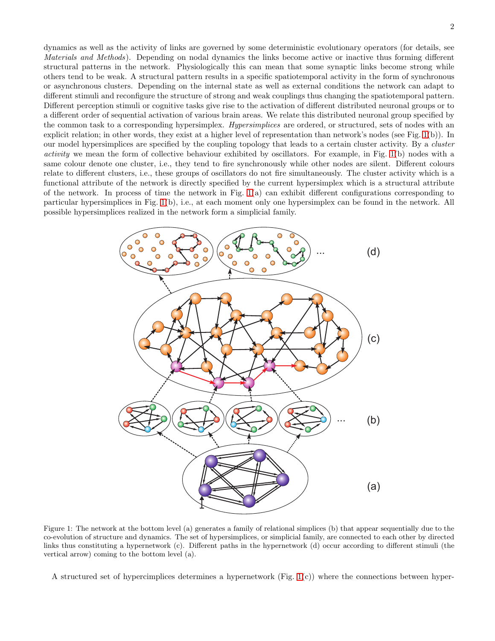dynamics as well as the activity of links are governed by some deterministic evolutionary operators (for details, see Materials and Methods). Depending on nodal dynamics the links become active or inactive thus forming different structural patterns in the network. Physiologically this can mean that some synaptic links become strong while others tend to be weak. A structural pattern results in a specific spatiotemporal activity in the form of synchronous or asynchronous clusters. Depending on the internal state as well as external conditions the network can adapt to different stimuli and reconfigure the structure of strong and weak couplings thus changing the spatiotemporal pattern. Different perception stimuli or cognitive tasks give rise to the activation of different distributed neuronal groups or to a different order of sequential activation of various brain areas. We relate this distributed neuronal group specified by the common task to a corresponding hypersimplex. Hypersimplices are ordered, or structured, sets of nodes with an explicit relation; in other words, they exist at a higher level of representation than network's nodes (see Fig. [1\(](#page-1-0)b)). In our model hypersimplices are specified by the coupling topology that leads to a certain cluster activity. By a cluster activity we mean the form of collective behaviour exhibited by oscillators. For example, in Fig. [1\(](#page-1-0)b) nodes with a same colour denote one cluster, i.e., they tend to fire synchronously while other nodes are silent. Different colours relate to different clusters, i.e., these groups of oscillators do not fire simultaneously. The cluster activity which is a functional attribute of the network is directly specified by the current hypersimplex which is a structural attribute of the network. In process of time the network in Fig. [1\(](#page-1-0)a) can exhibit different configurations corresponding to particular hypersimplices in Fig. [1\(](#page-1-0)b), i.e., at each moment only one hypersimplex can be found in the network. All possible hypersimplices realized in the network form a simplicial family.



<span id="page-1-0"></span>Figure 1: The network at the bottom level (a) generates a family of relational simplices (b) that appear sequentially due to the co-evolution of structure and dynamics. The set of hypersimplices, or simplicial family, are connected to each other by directed links thus constituting a hypernetwork (c). Different paths in the hypernetwork (d) occur according to different stimuli (the vertical arrow) coming to the bottom level (a).

A structured set of hypercimplices determines a hypernetwork (Fig. [1\(](#page-1-0)c)) where the connections between hyper-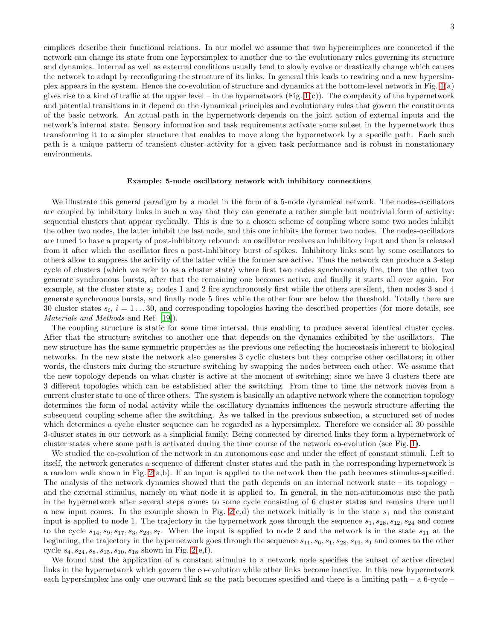cimplices describe their functional relations. In our model we assume that two hypercimplices are connected if the network can change its state from one hypersimplex to another due to the evolutionary rules governing its structure and dynamics. Internal as well as external conditions usually tend to slowly evolve or drastically change which causes the network to adapt by reconfiguring the structure of its links. In general this leads to rewiring and a new hypersimplex appears in the system. Hence the co-evolution of structure and dynamics at the bottom-level network in Fig. [1\(](#page-1-0)a) gives rise to a kind of traffic at the upper level – in the hypernetwork (Fig.  $1(c)$ ). The complexity of the hypernetwork and potential transitions in it depend on the dynamical principles and evolutionary rules that govern the constituents of the basic network. An actual path in the hypernetwork depends on the joint action of external inputs and the network's internal state. Sensory information and task requirements activate some subset in the hypernetwork thus transforming it to a simpler structure that enables to move along the hypernetwork by a specific path. Each such path is a unique pattern of transient cluster activity for a given task performance and is robust in nonstationary environments.

## Example: 5-node oscillatory network with inhibitory connections

We illustrate this general paradigm by a model in the form of a 5-node dynamical network. The nodes-oscillators are coupled by inhibitory links in such a way that they can generate a rather simple but nontrivial form of activity: sequential clusters that appear cyclically. This is due to a chosen scheme of coupling where some two nodes inhibit the other two nodes, the latter inhibit the last node, and this one inhibits the former two nodes. The nodes-oscillators are tuned to have a property of post-inhibitory rebound: an oscillator receives an inhibitory input and then is released from it after which the oscillator fires a post-inhibitory burst of spikes. Inhibitory links sent by some oscillators to others allow to suppress the activity of the latter while the former are active. Thus the network can produce a 3-step cycle of clusters (which we refer to as a cluster state) where first two nodes synchronously fire, then the other two generate synchronous bursts, after that the remaining one becomes active, and finally it starts all over again. For example, at the cluster state  $s_1$  nodes 1 and 2 fire synchronously first while the others are silent, then nodes 3 and 4 generate synchronous bursts, and finally node 5 fires while the other four are below the threshold. Totally there are 30 cluster states  $s_i$ ,  $i = 1...30$ , and corresponding topologies having the described properties (for more details, see Materials and Methods and Ref. [\[19\]](#page-8-22)).

The coupling structure is static for some time interval, thus enabling to produce several identical cluster cycles. After that the structure switches to another one that depends on the dynamics exhibited by the oscillators. The new structure has the same symmetric properties as the previous one reflecting the homeostasis inherent to biological networks. In the new state the network also generates 3 cyclic clusters but they comprise other oscillators; in other words, the clusters mix during the structure switching by swapping the nodes between each other. We assume that the new topology depends on what cluster is active at the moment of switching; since we have 3 clusters there are 3 different topologies which can be established after the switching. From time to time the network moves from a current cluster state to one of three others. The system is basically an adaptive network where the connection topology determines the form of nodal activity while the oscillatory dynamics influences the network structure affecting the subsequent coupling scheme after the switching. As we talked in the previous subsection, a structured set of nodes which determines a cyclic cluster sequence can be regarded as a hypersimplex. Therefore we consider all 30 possible 3-cluster states in our network as a simplicial family. Being connected by directed links they form a hypernetwork of cluster states where some path is activated during the time course of the network co-evolution (see Fig. [1\)](#page-1-0).

We studied the co-evolution of the network in an autonomous case and under the effect of constant stimuli. Left to itself, the network generates a sequence of different cluster states and the path in the corresponding hypernetwork is a random walk shown in Fig.  $2(a,b)$ . If an input is applied to the network then the path becomes stimulus-specified. The analysis of the network dynamics showed that the path depends on an internal network state – its topology – and the external stimulus, namely on what node it is applied to. In general, in the non-autonomous case the path in the hypernetwork after several steps comes to some cycle consisting of 6 cluster states and remains there until a new input comes. In the example shown in Fig.  $2(c,d)$  the network initially is in the state  $s_1$  and the constant input is applied to node 1. The trajectory in the hypernetwork goes through the sequence  $s_1, s_{28}, s_{12}, s_{24}$  and comes to the cycle  $s_{14}, s_{9}, s_{17}, s_{3}, s_{23}, s_{7}$ . When the input is applied to node 2 and the network is in the state  $s_{11}$  at the beginning, the trajectory in the hypernetwork goes through the sequence  $s_{11}, s_6, s_1, s_{28}, s_{19}, s_9$  and comes to the other cycle  $s_4$ ,  $s_{24}$ ,  $s_8$ ,  $s_{15}$ ,  $s_{10}$ ,  $s_{18}$  shown in Fig. [2\(](#page-3-0)e,f).

We found that the application of a constant stimulus to a network node specifies the subset of active directed links in the hypernetwork which govern the co-evolution while other links become inactive. In this new hypernetwork each hypersimplex has only one outward link so the path becomes specified and there is a limiting path – a 6-cycle –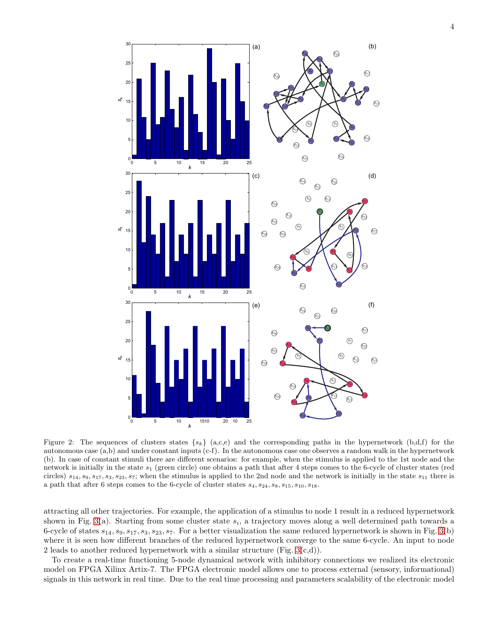

<span id="page-3-0"></span>Figure 2: The sequences of clusters states  $\{s_k\}$  (a,c,e) and the corresponding paths in the hypernetwork (b,d,f) for the autonomous case (a,b) and under constant inputs (c-f). In the autonomous case one observes a random walk in the hypernetwork (b). In case of constant stimuli there are different scenarios: for example, when the stimulus is applied to the 1st node and the network is initially in the state  $s_1$  (green circle) one obtains a path that after 4 steps comes to the 6-cycle of cluster states (red circles)  $s_{14}, s_9, s_{17}, s_3, s_{23}, s_7$ ; when the stimulus is applied to the 2nd node and the network is initially in the state  $s_{11}$  there is a path that after 6 steps comes to the 6-cycle of cluster states  $s_4$ ,  $s_{24}$ ,  $s_8$ ,  $s_{15}$ ,  $s_{10}$ ,  $s_{18}$ .

attracting all other trajectories. For example, the application of a stimulus to node 1 result in a reduced hypernetwork shown in Fig. [3\(](#page-4-0)a). Starting from some cluster state  $s_i$ , a trajectory moves along a well determined path towards a 6-cycle of states  $s_{14}, s_9, s_{17}, s_3, s_{23}, s_7$ . For a better visualization the same reduced hypernetwork is shown in Fig. [3\(](#page-4-0)b) where it is seen how different branches of the reduced hypernetwork converge to the same 6-cycle. An input to node 2 leads to another reduced hypernetwork with a similar structure (Fig.  $3(c,d)$ ).

To create a real-time functioning 5-node dynamical network with inhibitory connections we realized its electronic model on FPGA Xilinx Artix-7. The FPGA electronic model allows one to process external (sensory, informational) signals in this network in real time. Due to the real time processing and parameters scalability of the electronic model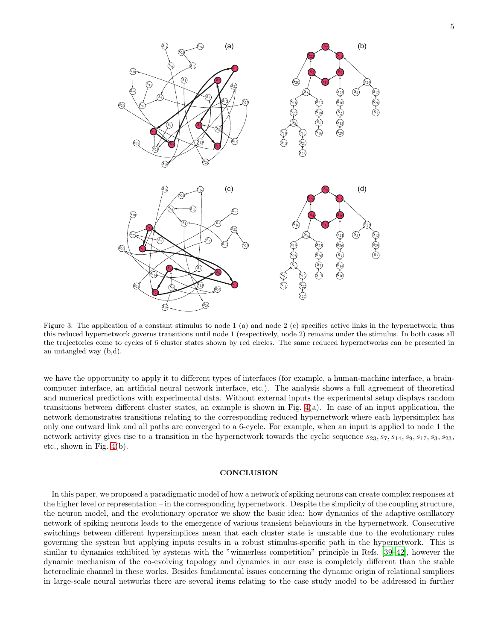

<span id="page-4-0"></span>Figure 3: The application of a constant stimulus to node 1 (a) and node 2 (c) specifies active links in the hypernetwork; thus this reduced hypernetwork governs transitions until node 1 (respectively, node 2) remains under the stimulus. In both cases all the trajectories come to cycles of 6 cluster states shown by red circles. The same reduced hypernetworks can be presented in an untangled way (b,d).

we have the opportunity to apply it to different types of interfaces (for example, a human-machine interface, a braincomputer interface, an artificial neural network interface, etc.). The analysis shows a full agreement of theoretical and numerical predictions with experimental data. Without external inputs the experimental setup displays random transitions between different cluster states, an example is shown in Fig. [4\(](#page-5-0)a). In case of an input application, the network demonstrates transitions relating to the corresponding reduced hypernetwork where each hypersimplex has only one outward link and all paths are converged to a 6-cycle. For example, when an input is applied to node 1 the network activity gives rise to a transition in the hypernetwork towards the cyclic sequence  $s_{23}, s_7, s_{14}, s_9, s_{17}, s_3, s_{23}$ , etc., shown in Fig. [4\(](#page-5-0)b).

# **CONCLUSION**

In this paper, we proposed a paradigmatic model of how a network of spiking neurons can create complex responses at the higher level or representation – in the corresponding hypernetwork. Despite the simplicity of the coupling structure, the neuron model, and the evolutionary operator we show the basic idea: how dynamics of the adaptive oscillatory network of spiking neurons leads to the emergence of various transient behaviours in the hypernetwork. Consecutive switchings between different hypersimplices mean that each cluster state is unstable due to the evolutionary rules governing the system but applying inputs results in a robust stimulus-specific path in the hypernetwork. This is similar to dynamics exhibited by systems with the "winnerless competition" principle in Refs. [\[39](#page-9-0)[–42](#page-9-1)], however the dynamic mechanism of the co-evolving topology and dynamics in our case is completely different than the stable heteroclinic channel in these works. Besides fundamental issues concerning the dynamic origin of relational simplices in large-scale neural networks there are several items relating to the case study model to be addressed in further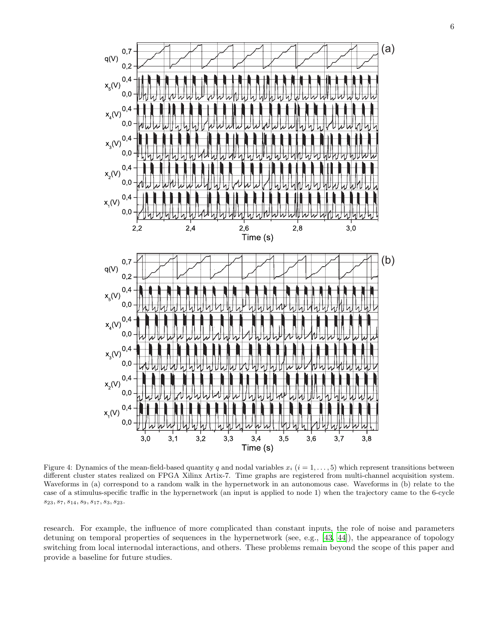

<span id="page-5-0"></span>Figure 4: Dynamics of the mean-field-based quantity q and nodal variables  $x_i$  ( $i = 1, \ldots, 5$ ) which represent transitions between different cluster states realized on FPGA Xilinx Artix-7. Time graphs are registered from multi-channel acquisition system. Waveforms in (a) correspond to a random walk in the hypernetwork in an autonomous case. Waveforms in (b) relate to the case of a stimulus-specific traffic in the hypernetwork (an input is applied to node 1) when the trajectory came to the 6-cycle  $s_{23}, s_7, s_{14}, s_9, s_{17}, s_3, s_{23}.$ 

research. For example, the influence of more complicated than constant inputs, the role of noise and parameters detuning on temporal properties of sequences in the hypernetwork (see, e.g., [\[43](#page-9-2), [44\]](#page-9-3)), the appearance of topology switching from local internodal interactions, and others. These problems remain beyond the scope of this paper and provide a baseline for future studies.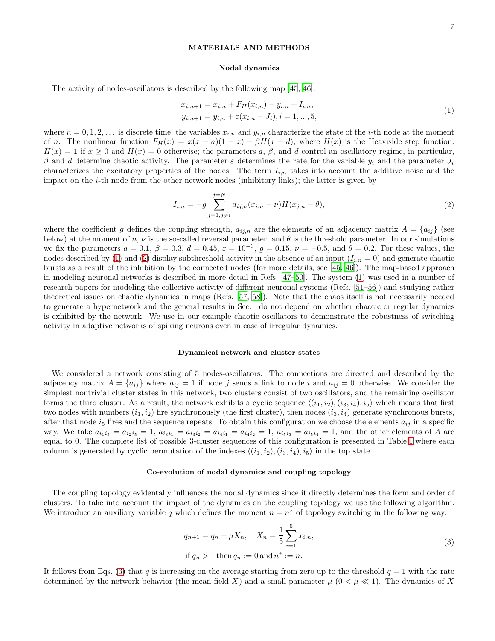# MATERIALS AND METHODS

### <span id="page-6-1"></span><span id="page-6-0"></span>Nodal dynamics

The activity of nodes-oscillators is described by the following map [\[45,](#page-9-4) [46\]](#page-9-5):

$$
x_{i,n+1} = x_{i,n} + F_H(x_{i,n}) - y_{i,n} + I_{i,n},
$$
  
\n
$$
y_{i,n+1} = y_{i,n} + \varepsilon (x_{i,n} - J_i), i = 1, ..., 5,
$$
\n(1)

where  $n = 0, 1, 2, \ldots$  is discrete time, the variables  $x_{i,n}$  and  $y_{i,n}$  characterize the state of the *i*-th node at the moment of n. The nonlinear function  $F_H(x) = x(x - a)(1 - x) - \beta H(x - d)$ , where  $H(x)$  is the Heaviside step function:  $H(x) = 1$  if  $x \ge 0$  and  $H(x) = 0$  otherwise; the parameters a,  $\beta$ , and d control an oscillatory regime, in particular, β and d determine chaotic activity. The parameter  $\varepsilon$  determines the rate for the variable  $y_i$  and the parameter  $J_i$ characterizes the excitatory properties of the nodes. The term  $I_{i,n}$  takes into account the additive noise and the impact on the  $i$ -th node from the other network nodes (inhibitory links); the latter is given by

$$
I_{i,n} = -g \sum_{j=1, j \neq i}^{j=N} a_{ij,n} (x_{i,n} - \nu) H(x_{j,n} - \theta),
$$
\n(2)

where the coefficient g defines the coupling strength,  $a_{ij,n}$  are the elements of an adjacency matrix  $A = \{a_{ij}\}\$  (see below) at the moment of n,  $\nu$  is the so-called reversal parameter, and  $\theta$  is the threshold parameter. In our simulations we fix the parameters  $a = 0.1$ ,  $\beta = 0.3$ ,  $d = 0.45$ ,  $\varepsilon = 10^{-3}$ ,  $g = 0.15$ ,  $\nu = -0.5$ , and  $\theta = 0.2$ . For these values, the nodes described by [\(1\)](#page-6-0) and [\(2\)](#page-6-1) display subthreshold activity in the absence of an input  $(I_{i,n} = 0)$  and generate chaotic bursts as a result of the inhibition by the connected nodes (for more details, see [\[45](#page-9-4), [46\]](#page-9-5)). The map-based approach in modeling neuronal networks is described in more detail in Refs. [\[47](#page-9-6)[–50](#page-9-7)]. The system [\(1\)](#page-6-0) was used in a number of research papers for modeling the collective activity of different neuronal systems (Refs. [\[51](#page-9-8)[–56](#page-9-9)]) and studying rather theoretical issues on chaotic dynamics in maps (Refs. [\[57,](#page-9-10) [58](#page-9-11)]). Note that the chaos itself is not necessarily needed to generate a hypernetwork and the general results in Sec. do not depend on whether chaotic or regular dynamics is exhibited by the network. We use in our example chaotic oscillators to demonstrate the robustness of switching activity in adaptive networks of spiking neurons even in case of irregular dynamics.

### Dynamical network and cluster states

We considered a network consisting of 5 nodes-oscillators. The connections are directed and described by the adjacency matrix  $A = \{a_{ij}\}\$  where  $a_{ij} = 1$  if node j sends a link to node i and  $a_{ij} = 0$  otherwise. We consider the simplest nontrivial cluster states in this network, two clusters consist of two oscillators, and the remaining oscillator forms the third cluster. As a result, the network exhibits a cyclic sequence  $\langle (i_1, i_2), (i_3, i_4), i_5 \rangle$  which means that first two nodes with numbers  $(i_1, i_2)$  fire synchronously (the first cluster), then nodes  $(i_3, i_4)$  generate synchronous bursts, after that node  $i_5$  fires and the sequence repeats. To obtain this configuration we choose the elements  $a_{ij}$  in a specific way. We take  $a_{i_1i_5} = a_{i_2i_5} = 1$ ,  $a_{i_3i_1} = a_{i_3i_2} = a_{i_4i_1} = a_{i_4i_2} = 1$ ,  $a_{i_5i_3} = a_{i_5i_4} = 1$ , and the other elements of A are equal to 0. The complete list of possible 3-cluster sequences of this configuration is presented in Table [I](#page-7-2) where each column is generated by cyclic permutation of the indexes  $\langle (i_1, i_2), (i_3, i_4), i_5 \rangle$  in the top state.

# Co-evolution of nodal dynamics and coupling topology

The coupling topology evidentally influences the nodal dynamics since it directly determines the form and order of clusters. To take into account the impact of the dynamics on the coupling topology we use the following algorithm. We introduce an auxiliary variable q which defines the moment  $n = n^*$  of topology switching in the following way:

<span id="page-6-2"></span>
$$
q_{n+1} = q_n + \mu X_n, \quad X_n = \frac{1}{5} \sum_{i=1}^{5} x_{i,n},
$$
  
if  $q_n > 1$  then  $q_n := 0$  and  $n^* := n$ . (3)

It follows from Eqs. [\(3\)](#page-6-2) that q is increasing on the average starting from zero up to the threshold  $q = 1$  with the rate determined by the network behavior (the mean field X) and a small parameter  $\mu$  ( $0 < \mu \ll 1$ ). The dynamics of X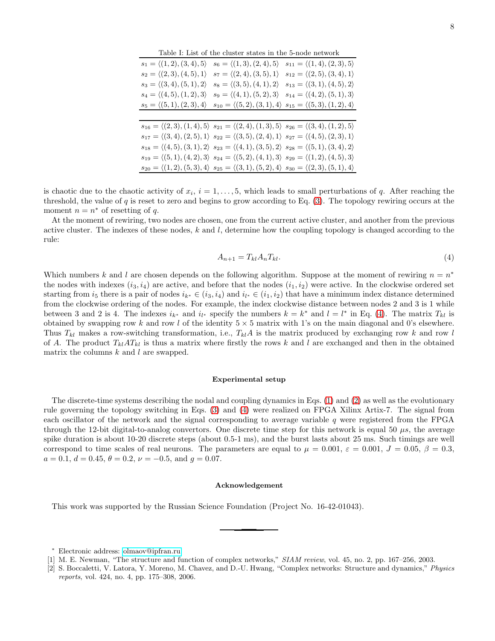<span id="page-7-2"></span>Table I: List of the cluster states in the 5-node network

| $s_1 = \langle (1,2), (3,4), 5 \rangle$ | $s_6 = \langle (1,3), (2,4), 5 \rangle$                                                                                          | $s_{11} = \langle (1,4), (2,3), 5 \rangle$ |
|-----------------------------------------|----------------------------------------------------------------------------------------------------------------------------------|--------------------------------------------|
| $s_2 = \langle (2,3), (4,5), 1 \rangle$ | $s_7 = \langle (2,4), (3,5), 1 \rangle$                                                                                          | $s_{12} = \langle (2,5), (3,4), 1 \rangle$ |
| $s_3 = \langle (3,4), (5,1), 2 \rangle$ | $s_8 = \langle (3,5), (4,1), 2 \rangle$                                                                                          | $s_{13} = \langle (3,1), (4,5), 2 \rangle$ |
| $s_4 = \langle (4,5), (1,2), 3 \rangle$ | $s_9 = \langle (4,1), (5,2), 3 \rangle$                                                                                          | $s_{14} = \langle (4,2), (5,1), 3 \rangle$ |
| $s_5 = \langle (5,1), (2,3), 4 \rangle$ | $s_{10} = \langle (5,2), (3,1), 4 \rangle$                                                                                       | $s_{15} = \langle (5,3), (1,2), 4 \rangle$ |
|                                         |                                                                                                                                  |                                            |
|                                         | $s_{16} = \langle (2,3), (1,4), 5 \rangle$ $s_{21} = \langle (2,4), (1,3), 5 \rangle$ $s_{26} = \langle (3,4), (1,2), 5 \rangle$ |                                            |
|                                         | $s_{17} = \langle (3,4), (2,5), 1 \rangle$ $s_{22} = \langle (3,5), (2,4), 1 \rangle$ $s_{27} = \langle (4,5), (2,3), 1 \rangle$ |                                            |
|                                         | $s_{18} = \langle (4,5), (3,1), 2 \rangle$ $s_{23} = \langle (4,1), (3,5), 2 \rangle$ $s_{28} = \langle (5,1), (3,4), 2 \rangle$ |                                            |
|                                         | $s_{19} = \langle (5,1), (4,2), 3 \rangle$ $s_{24} = \langle (5,2), (4,1), 3 \rangle$ $s_{29} = \langle (1,2), (4,5), 3 \rangle$ |                                            |
|                                         | $s_{20} = \langle (1,2), (5,3), 4 \rangle$ $s_{25} = \langle (3,1), (5,2), 4 \rangle$ $s_{30} = \langle (2,3), (5,1), 4 \rangle$ |                                            |

is chaotic due to the chaotic activity of  $x_i$ ,  $i = 1, \ldots, 5$ , which leads to small perturbations of q. After reaching the threshold, the value of q is reset to zero and begins to grow according to Eq. [\(3\)](#page-6-2). The topology rewiring occurs at the moment  $n = n^*$  of resetting of q.

At the moment of rewiring, two nodes are chosen, one from the current active cluster, and another from the previous active cluster. The indexes of these nodes,  $k$  and  $l$ , determine how the coupling topology is changed according to the rule:

<span id="page-7-3"></span>
$$
A_{n+1} = T_{kl} A_n T_{kl}.\tag{4}
$$

Which numbers k and l are chosen depends on the following algorithm. Suppose at the moment of rewiring  $n = n^*$ the nodes with indexes  $(i_3, i_4)$  are active, and before that the nodes  $(i_1, i_2)$  were active. In the clockwise ordered set starting from  $i_5$  there is a pair of nodes  $i_{k^*} \in (i_3, i_4)$  and  $i_{l^*} \in (i_1, i_2)$  that have a minimum index distance determined from the clockwise ordering of the nodes. For example, the index clockwise distance between nodes 2 and 3 is 1 while between 3 and 2 is 4. The indexes  $i_{k^*}$  and  $i_{l^*}$  specify the numbers  $k = k^*$  and  $l = l^*$  in Eq. [\(4\)](#page-7-3). The matrix  $T_{kl}$  is obtained by swapping row k and row l of the identity  $5 \times 5$  matrix with 1's on the main diagonal and 0's elsewhere. Thus  $T_{kl}$  makes a row-switching transformation, i.e.,  $T_{kl}A$  is the matrix produced by exchanging row k and row l of A. The product  $T_{kl}AT_{kl}$  is thus a matrix where firstly the rows k and l are exchanged and then in the obtained matrix the columns  $k$  and  $l$  are swapped.

### Experimental setup

The discrete-time systems describing the nodal and coupling dynamics in Eqs. [\(1\)](#page-6-0) and [\(2\)](#page-6-1) as well as the evolutionary rule governing the topology switching in Eqs. [\(3\)](#page-6-2) and [\(4\)](#page-7-3) were realized on FPGA Xilinx Artix-7. The signal from each oscillator of the network and the signal corresponding to average variable q were registered from the FPGA through the 12-bit digital-to-analog convertors. One discrete time step for this network is equal 50  $\mu s$ , the average spike duration is about 10-20 discrete steps (about 0.5-1 ms), and the burst lasts about 25 ms. Such timings are well correspond to time scales of real neurons. The parameters are equal to  $\mu = 0.001$ ,  $\varepsilon = 0.001$ ,  $J = 0.05$ ,  $\beta = 0.3$ ,  $a = 0.1, d = 0.45, \theta = 0.2, \nu = -0.5, \text{ and } g = 0.07.$ 

## Acknowledgement

This work was supported by the Russian Science Foundation (Project No. 16-42-01043).

<sup>∗</sup> Electronic address: [olmaov@ipfran.ru](mailto:olmaov@ipfran.ru)

<span id="page-7-1"></span><span id="page-7-0"></span><sup>[1]</sup> M. E. Newman, "The structure and function of complex networks," *SIAM review*, vol. 45, no. 2, pp. 167–256, 2003.

<sup>[2]</sup> S. Boccaletti, V. Latora, Y. Moreno, M. Chavez, and D.-U. Hwang, "Complex networks: Structure and dynamics," *Physics reports*, vol. 424, no. 4, pp. 175–308, 2006.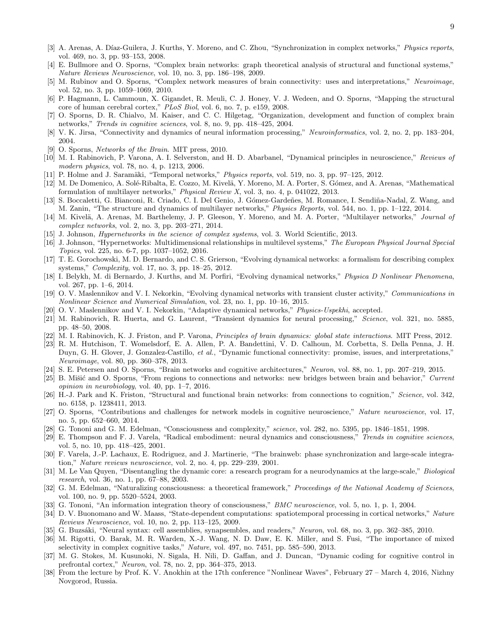- <span id="page-8-0"></span>[3] A. Arenas, A. Díaz-Guilera, J. Kurths, Y. Moreno, and C. Zhou, "Synchronization in complex networks," *Physics reports*, vol. 469, no. 3, pp. 93–153, 2008.
- <span id="page-8-1"></span>[4] E. Bullmore and O. Sporns, "Complex brain networks: graph theoretical analysis of structural and functional systems," *Nature Reviews Neuroscience*, vol. 10, no. 3, pp. 186–198, 2009.
- [5] M. Rubinov and O. Sporns, "Complex network measures of brain connectivity: uses and interpretations," *Neuroimage*, vol. 52, no. 3, pp. 1059–1069, 2010.
- [6] P. Hagmann, L. Cammoun, X. Gigandet, R. Meuli, C. J. Honey, V. J. Wedeen, and O. Sporns, "Mapping the structural core of human cerebral cortex," *PLoS Biol*, vol. 6, no. 7, p. e159, 2008.
- [7] O. Sporns, D. R. Chialvo, M. Kaiser, and C. C. Hilgetag, "Organization, development and function of complex brain networks," *Trends in cognitive sciences*, vol. 8, no. 9, pp. 418–425, 2004.
- <span id="page-8-2"></span>[8] V. K. Jirsa, "Connectivity and dynamics of neural information processing," *Neuroinformatics*, vol. 2, no. 2, pp. 183–204, 2004.
- <span id="page-8-3"></span>[9] O. Sporns, *Networks of the Brain*. MIT press, 2010.
- <span id="page-8-4"></span>[10] M. I. Rabinovich, P. Varona, A. I. Selverston, and H. D. Abarbanel, "Dynamical principles in neuroscience," *Reviews of modern physics*, vol. 78, no. 4, p. 1213, 2006.
- <span id="page-8-5"></span>[11] P. Holme and J. Saramäki, "Temporal networks," *Physics reports*, vol. 519, no. 3, pp. 97–125, 2012.
- [12] M. De Domenico, A. Solé-Ribalta, E. Cozzo, M. Kivelä, Y. Moreno, M. A. Porter, S. Gómez, and A. Arenas, "Mathematical" formulation of multilayer networks," *Physical Review X*, vol. 3, no. 4, p. 041022, 2013.
- [13] S. Boccaletti, G. Bianconi, R. Criado, C. I. Del Genio, J. Gómez-Gardeñes, M. Romance, I. Sendiña-Nadal, Z. Wang, and M. Zanin, "The structure and dynamics of multilayer networks," *Physics Reports*, vol. 544, no. 1, pp. 1–122, 2014.
- <span id="page-8-6"></span>[14] M. Kivelä, A. Arenas, M. Barthelemy, J. P. Gleeson, Y. Moreno, and M. A. Porter, "Multilayer networks," *Journal of complex networks*, vol. 2, no. 3, pp. 203–271, 2014.
- <span id="page-8-7"></span>[15] J. Johnson, *Hypernetworks in the science of complex systems*, vol. 3. World Scientific, 2013.
- <span id="page-8-8"></span>[16] J. Johnson, "Hypernetworks: Multidimensional relationships in multilevel systems," *The European Physical Journal Special Topics*, vol. 225, no. 6-7, pp. 1037–1052, 2016.
- <span id="page-8-9"></span>[17] T. E. Gorochowski, M. D. Bernardo, and C. S. Grierson, "Evolving dynamical networks: a formalism for describing complex systems," *Complexity*, vol. 17, no. 3, pp. 18–25, 2012.
- [18] I. Belykh, M. di Bernardo, J. Kurths, and M. Porfiri, "Evolving dynamical networks," *Physica D Nonlinear Phenomena*, vol. 267, pp. 1–6, 2014.
- <span id="page-8-22"></span>[19] O. V. Maslennikov and V. I. Nekorkin, "Evolving dynamical networks with transient cluster activity," *Communications in Nonlinear Science and Numerical Simulation*, vol. 23, no. 1, pp. 10–16, 2015.
- <span id="page-8-10"></span>[20] O. V. Maslennikov and V. I. Nekorkin, "Adaptive dynamical networks," *Physics-Uspekhi*, accepted.
- <span id="page-8-11"></span>[21] M. Rabinovich, R. Huerta, and G. Laurent, "Transient dynamics for neural processing," *Science*, vol. 321, no. 5885, pp. 48–50, 2008.
- <span id="page-8-12"></span>[22] M. I. Rabinovich, K. J. Friston, and P. Varona, *Principles of brain dynamics: global state interactions*. MIT Press, 2012.
- <span id="page-8-13"></span>[23] R. M. Hutchison, T. Womelsdorf, E. A. Allen, P. A. Bandettini, V. D. Calhoun, M. Corbetta, S. Della Penna, J. H. Duyn, G. H. Glover, J. Gonzalez-Castillo, *et al.*, "Dynamic functional connectivity: promise, issues, and interpretations," *Neuroimage*, vol. 80, pp. 360–378, 2013.
- [24] S. E. Petersen and O. Sporns, "Brain networks and cognitive architectures," *Neuron*, vol. 88, no. 1, pp. 207–219, 2015.
- <span id="page-8-14"></span>[25] B. Mišić and O. Sporns, "From regions to connections and networks: new bridges between brain and behavior," *Current opinion in neurobiology*, vol. 40, pp. 1–7, 2016.
- <span id="page-8-15"></span>[26] H.-J. Park and K. Friston, "Structural and functional brain networks: from connections to cognition," *Science*, vol. 342, no. 6158, p. 1238411, 2013.
- <span id="page-8-16"></span>[27] O. Sporns, "Contributions and challenges for network models in cognitive neuroscience," *Nature neuroscience*, vol. 17, no. 5, pp. 652–660, 2014.
- <span id="page-8-17"></span>[28] G. Tononi and G. M. Edelman, "Consciousness and complexity," *science*, vol. 282, no. 5395, pp. 1846–1851, 1998.
- [29] E. Thompson and F. J. Varela, "Radical embodiment: neural dynamics and consciousness," *Trends in cognitive sciences*, vol. 5, no. 10, pp. 418–425, 2001.
- [30] F. Varela, J.-P. Lachaux, E. Rodriguez, and J. Martinerie, "The brainweb: phase synchronization and large-scale integration," *Nature reviews neuroscience*, vol. 2, no. 4, pp. 229–239, 2001.
- [31] M. Le Van Quyen, "Disentangling the dynamic core: a research program for a neurodynamics at the large-scale," *Biological research*, vol. 36, no. 1, pp. 67–88, 2003.
- [32] G. M. Edelman, "Naturalizing consciousness: a theoretical framework," *Proceedings of the National Academy of Sciences*, vol. 100, no. 9, pp. 5520–5524, 2003.
- <span id="page-8-18"></span>[33] G. Tononi, "An information integration theory of consciousness," *BMC neuroscience*, vol. 5, no. 1, p. 1, 2004.
- <span id="page-8-19"></span>[34] D. V. Buonomano and W. Maass, "State-dependent computations: spatiotemporal processing in cortical networks," *Nature Reviews Neuroscience*, vol. 10, no. 2, pp. 113–125, 2009.
- [35] G. Buzs´aki, "Neural syntax: cell assemblies, synapsembles, and readers," *Neuron*, vol. 68, no. 3, pp. 362–385, 2010.
- [36] M. Rigotti, O. Barak, M. R. Warden, X.-J. Wang, N. D. Daw, E. K. Miller, and S. Fusi, "The importance of mixed selectivity in complex cognitive tasks," *Nature*, vol. 497, no. 7451, pp. 585–590, 2013.
- <span id="page-8-20"></span>[37] M. G. Stokes, M. Kusunoki, N. Sigala, H. Nili, D. Gaffan, and J. Duncan, "Dynamic coding for cognitive control in prefrontal cortex," *Neuron*, vol. 78, no. 2, pp. 364–375, 2013.
- <span id="page-8-21"></span>[38] From the lecture by Prof. K. V. Anokhin at the 17th conference "Nonlinear Waves", February 27 – March 4, 2016, Nizhny Novgorod, Russia.